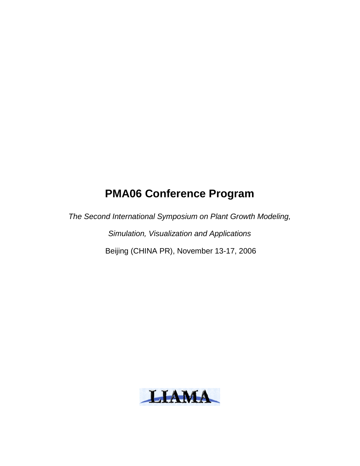# **PMA06 Conference Program**

The Second International Symposium on Plant Growth Modeling, Simulation, Visualization and Applications Beijing (CHINA PR), November 13-17, 2006

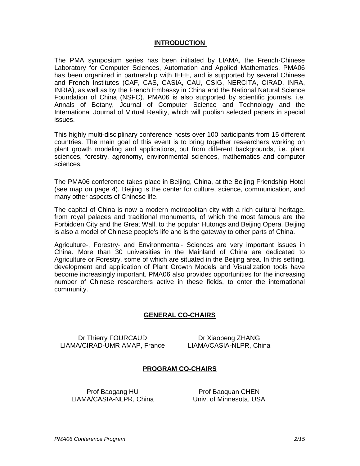#### **INTRODUCTION**

The PMA symposium series has been initiated by LIAMA, the French-Chinese Laboratory for Computer Sciences, Automation and Applied Mathematics. PMA06 has been organized in partnership with IEEE, and is supported by several Chinese and French Institutes (CAF, CAS, CASIA, CAU, CSIG, NERCITA, CIRAD, INRA, INRIA), as well as by the French Embassy in China and the National Natural Science Foundation of China (NSFC). PMA06 is also supported by scientific journals, i.e. Annals of Botany, Journal of Computer Science and Technology and the International Journal of Virtual Reality, which will publish selected papers in special issues.

This highly multi-disciplinary conference hosts over 100 participants from 15 different countries. The main goal of this event is to bring together researchers working on plant growth modeling and applications, but from different backgrounds, i.e. plant sciences, forestry, agronomy, environmental sciences, mathematics and computer sciences.

The PMA06 conference takes place in Beijing, China, at the Beijing Friendship Hotel (see map on page 4). Beijing is the center for culture, science, communication, and many other aspects of Chinese life.

The capital of China is now a modern metropolitan city with a rich cultural heritage, from royal palaces and traditional monuments, of which the most famous are the Forbidden City and the Great Wall, to the popular Hutongs and Beijing Opera. Beijing is also a model of Chinese people's life and is the gateway to other parts of China.

Agriculture-, Forestry- and Environmental- Sciences are very important issues in China. More than 30 universities in the Mainland of China are dedicated to Agriculture or Forestry, some of which are situated in the Beijing area. In this setting, development and application of Plant Growth Models and Visualization tools have become increasingly important. PMA06 also provides opportunities for the increasing number of Chinese researchers active in these fields, to enter the international community.

## **GENERAL CO-CHAIRS**

Dr Thierry FOURCAUD LIAMA/CIRAD-UMR AMAP, France LIAMA/CASIA-NLPR, China

Dr Xiaopeng ZHANG

#### **PROGRAM CO-CHAIRS**

Prof Baogang HU LIAMA/CASIA-NLPR, China Univ. of Minnesota, USA

Prof Baoquan CHEN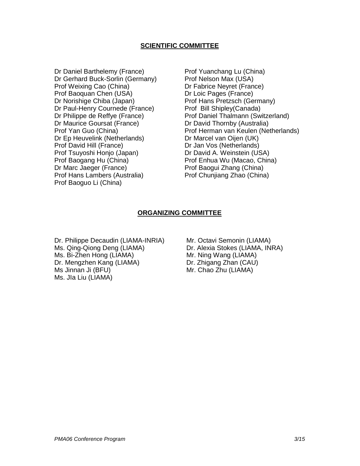## **SCIENTIFIC COMMITTEE**

Dr Daniel Barthelemy (France) Dr Gerhard Buck-Sorlin (Germany) Prof Weixing Cao (China) Prof Baoquan Chen (USA) Dr Norishige Chiba (Japan) Dr Paul-Henry Cournede (France) Dr Philippe de Reffye (France) Dr Maurice Goursat (France) Prof Yan Guo (China) Dr Ep Heuvelink (Netherlands) Prof David Hill (France) Prof Tsuyoshi Honjo (Japan) Prof Baogang Hu (China) Dr Marc Jaeger (France) Prof Hans Lambers (Australia) Prof Baoguo Li (China)

Prof Yuanchang Lu (China) Prof Nelson Max (USA) Dr Fabrice Neyret (France) Dr Loic Pages (France) Prof Hans Pretzsch (Germany) Prof Bill Shipley(Canada) Prof Daniel Thalmann (Switzerland) Dr David Thornby (Australia) Prof Herman van Keulen (Netherlands) Dr Marcel van Oijen (UK) Dr Jan Vos (Netherlands) Dr David A. Weinstein (USA) Prof Enhua Wu (Macao, China) Prof Baogui Zhang (China) Prof Chunjiang Zhao (China)

#### **ORGANIZING COMMITTEE**

Dr. Philippe Decaudin (LIAMA-INRIA) Ms. Qing-Qiong Deng (LIAMA) Ms. Bi-Zhen Hong (LIAMA) Dr. Mengzhen Kang (LIAMA) Ms Jinnan Ji (BFU) Ms. JIa Liu (LIAMA)

Mr. Octavi Semonin (LIAMA) Dr. Alexia Stokes (LIAMA, INRA) Mr. Ning Wang (LIAMA) Dr. Zhigang Zhan (CAU) Mr. Chao Zhu (LIAMA)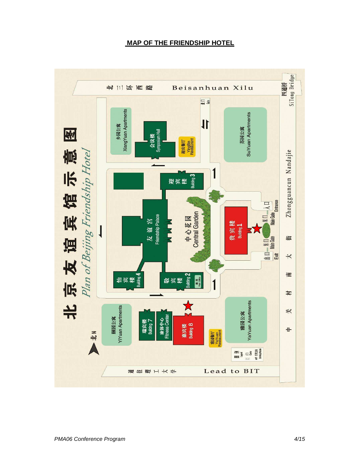# **MAP OF THE FRIENDSHIP HOTEL**

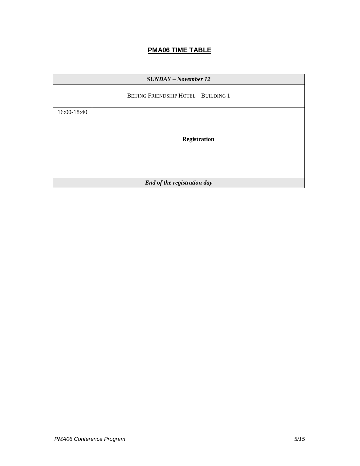# **PMA06 TIME TABLE**

| <b>SUNDAY</b> - November 12 |                                              |
|-----------------------------|----------------------------------------------|
|                             | <b>BEIJING FRIENDSHIP HOTEL - BUILDING 1</b> |
| 16:00-18:40                 |                                              |
|                             |                                              |
|                             | <b>Registration</b>                          |
|                             |                                              |
|                             |                                              |
| End of the registration day |                                              |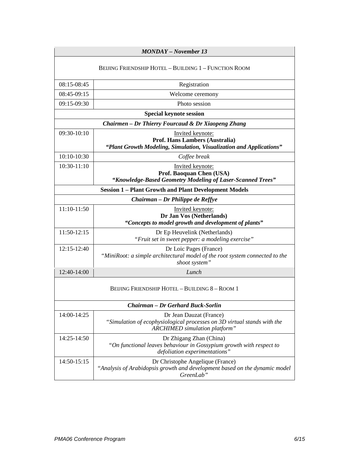|                                                    | <b>MONDAY</b> – November 13                                                                                                         |
|----------------------------------------------------|-------------------------------------------------------------------------------------------------------------------------------------|
|                                                    | BEIJING FRIENDSHIP HOTEL - BUILDING 1 - FUNCTION ROOM                                                                               |
| $08:15-08:45$                                      | Registration                                                                                                                        |
| 08:45-09:15                                        | Welcome ceremony                                                                                                                    |
| 09:15-09:30                                        | Photo session                                                                                                                       |
|                                                    | <b>Special keynote session</b>                                                                                                      |
| Chairmen – Dr Thierry Fourcaud & Dr Xiaopeng Zhang |                                                                                                                                     |
| 09:30-10:10                                        | Invited keynote:<br>Prof. Hans Lambers (Australia)<br>"Plant Growth Modeling, Simulation, Visualization and Applications"           |
| 10:10-10:30                                        | Coffee break                                                                                                                        |
| 10:30-11:10                                        | Invited keynote:<br>Prof. Baoquan Chen (USA)<br>"Knowledge-Based Geometry Modeling of Laser-Scanned Trees"                          |
|                                                    | <b>Session 1 - Plant Growth and Plant Development Models</b>                                                                        |
| Chairman - Dr Philippe de Reffye                   |                                                                                                                                     |
| 11:10-11:50                                        | <b>Invited keynote:</b><br>Dr Jan Vos (Netherlands)<br>"Concepts to model growth and development of plants"                         |
| 11:50-12:15                                        | Dr Ep Heuvelink (Netherlands)<br>"Fruit set in sweet pepper: a modeling exercise"                                                   |
| 12:15-12:40                                        | Dr Loic Pages (France)<br>"MiniRoot: a simple architectural model of the root system connected to the<br>shoot system"              |
| 12:40-14:00                                        | Lunch                                                                                                                               |
| BEIJING FRIENDSHIP HOTEL - BUILDING 8 - ROOM 1     |                                                                                                                                     |
|                                                    | Chairman – Dr Gerhard Buck-Sorlin                                                                                                   |
| 14:00-14:25                                        | Dr Jean Dauzat (France)<br>"Simulation of ecophysiological processes on 3D virtual stands with the<br>ARCHIMED simulation platform" |
| 14:25-14:50                                        | Dr Zhigang Zhan (China)<br>"On functional leaves behaviour in Gossypium growth with respect to<br>defoliation experimentations"     |
| 14:50-15:15                                        | Dr Christophe Angelique (France)<br>"Analysis of Arabidopsis growth and development based on the dynamic model<br>GreenLab"         |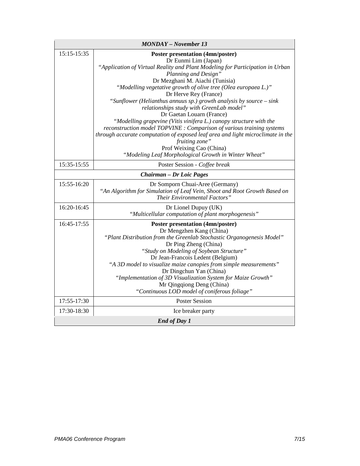| <b>MONDAY</b> - November 13 |                                                                                                                                                                                                                                                                                                                                                                                                                                                                                                                                                                                                                                                                                                                                        |
|-----------------------------|----------------------------------------------------------------------------------------------------------------------------------------------------------------------------------------------------------------------------------------------------------------------------------------------------------------------------------------------------------------------------------------------------------------------------------------------------------------------------------------------------------------------------------------------------------------------------------------------------------------------------------------------------------------------------------------------------------------------------------------|
| 15:15-15:35                 | <b>Poster presentation (4mn/poster)</b><br>Dr Eunmi Lim (Japan)<br>"Application of Virtual Reality and Plant Modeling for Participation in Urban<br>Planning and Design"<br>Dr Mezghani M. Aiachi (Tunisia)<br>"Modelling vegetative growth of olive tree (Olea europaea L.)"<br>Dr Herve Rey (France)<br>"Sunflower (Helianthus annuus sp.) growth analysis by source - sink<br>relationships study with GreenLab model"<br>Dr Gaetan Louarn (France)<br>"Modelling grapevine (Vitis vinifera L.) canopy structure with the<br>reconstruction model TOPVINE : Comparison of various training systems<br>through accurate computation of exposed leaf area and light microclimate in the<br>fruiting zone"<br>Prof Weixing Cao (China) |
|                             | "Modeling Leaf Morphological Growth in Winter Wheat"                                                                                                                                                                                                                                                                                                                                                                                                                                                                                                                                                                                                                                                                                   |
| 15:35-15:55                 | Poster Session - Coffee break                                                                                                                                                                                                                                                                                                                                                                                                                                                                                                                                                                                                                                                                                                          |
|                             | <b>Chairman - Dr Loic Pages</b>                                                                                                                                                                                                                                                                                                                                                                                                                                                                                                                                                                                                                                                                                                        |
| 15:55-16:20                 | Dr Somporn Chuai-Aree (Germany)<br>"An Algorithm for Simulation of Leaf Vein, Shoot and Root Growth Based on<br>Their Environmental Factors"                                                                                                                                                                                                                                                                                                                                                                                                                                                                                                                                                                                           |
| 16:20-16:45                 | Dr Lionel Dupuy (UK)<br>"Multicellular computation of plant morphogenesis"                                                                                                                                                                                                                                                                                                                                                                                                                                                                                                                                                                                                                                                             |
| 16:45-17:55                 | <b>Poster presentation (4mn/poster)</b><br>Dr Mengzhen Kang (China)<br>"Plant Distribution from the Greenlab Stochastic Organogenesis Model"<br>Dr Ping Zheng (China)<br>"Study on Modeling of Soybean Structure"<br>Dr Jean-Francois Ledent (Belgium)<br>"A 3D model to visualize maize canopies from simple measurements"<br>Dr Dingchun Yan (China)<br>"Implementation of 3D Visualization System for Maize Growth"<br>Mr Qingqiong Deng (China)<br>"Continuous LOD model of coniferous foliage"                                                                                                                                                                                                                                    |
| 17:55-17:30                 | <b>Poster Session</b>                                                                                                                                                                                                                                                                                                                                                                                                                                                                                                                                                                                                                                                                                                                  |
| 17:30-18:30                 | Ice breaker party                                                                                                                                                                                                                                                                                                                                                                                                                                                                                                                                                                                                                                                                                                                      |
| <b>End of Day 1</b>         |                                                                                                                                                                                                                                                                                                                                                                                                                                                                                                                                                                                                                                                                                                                                        |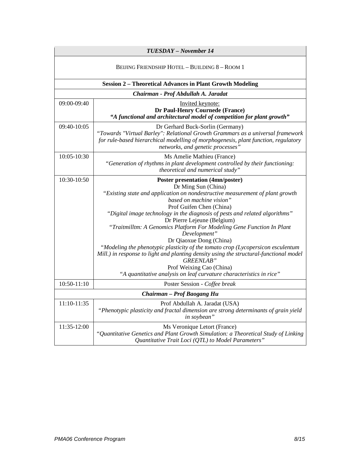| TUESDAY - November 14                          |                                                                                                                                                                                                                                                                                                                                                                                                                                                                                                                                                                                                                                                                                                                                                |
|------------------------------------------------|------------------------------------------------------------------------------------------------------------------------------------------------------------------------------------------------------------------------------------------------------------------------------------------------------------------------------------------------------------------------------------------------------------------------------------------------------------------------------------------------------------------------------------------------------------------------------------------------------------------------------------------------------------------------------------------------------------------------------------------------|
| BEIJING FRIENDSHIP HOTEL - BUILDING 8 - ROOM 1 |                                                                                                                                                                                                                                                                                                                                                                                                                                                                                                                                                                                                                                                                                                                                                |
|                                                | <b>Session 2 - Theoretical Advances in Plant Growth Modeling</b>                                                                                                                                                                                                                                                                                                                                                                                                                                                                                                                                                                                                                                                                               |
|                                                | Chairman - Prof Abdullah A. Jaradat                                                                                                                                                                                                                                                                                                                                                                                                                                                                                                                                                                                                                                                                                                            |
| 09:00-09:40                                    | Invited keynote:<br>Dr Paul-Henry Cournede (France)<br>"A functional and architectural model of competition for plant growth"                                                                                                                                                                                                                                                                                                                                                                                                                                                                                                                                                                                                                  |
| 09:40-10:05                                    | Dr Gerhard Buck-Sorlin (Germany)<br>"Towards "Virtual Barley": Relational Growth Grammars as a universal framework<br>for rule-based hierarchical modelling of morphogenesis, plant function, regulatory<br>networks, and genetic processes"                                                                                                                                                                                                                                                                                                                                                                                                                                                                                                   |
| 10:05-10:30                                    | Ms Amelie Mathieu (France)<br>"Generation of rhythms in plant development controlled by their functioning:<br>theoretical and numerical study"                                                                                                                                                                                                                                                                                                                                                                                                                                                                                                                                                                                                 |
| 10:30-10:50                                    | <b>Poster presentation (4mn/poster)</b><br>Dr Ming Sun (China)<br>"Existing state and application on nondestructive measurement of plant growth<br>based on machine vision"<br>Prof Guifen Chen (China)<br>"Digital image technology in the diagnosis of pests and related algorithms"<br>Dr Pierre Lejeune (Belgium)<br>"Traitmilltm: A Genomics Platform For Modeling Gene Function In Plant<br>Development"<br>Dr Qiaoxue Dong (China)<br>"Modeling the phenotypic plasticity of the tomato crop (Lycopersicon esculentum<br>Mill.) in response to light and planting density using the structural-functional model<br><b>GREENLAB</b> "<br>Prof Weixing Cao (China)<br>"A quantitative analysis on leaf curvature characteristics in rice" |
| 10:50-11:10                                    | Poster Session - Coffee break                                                                                                                                                                                                                                                                                                                                                                                                                                                                                                                                                                                                                                                                                                                  |
|                                                | Chairman - Prof Baogang Hu                                                                                                                                                                                                                                                                                                                                                                                                                                                                                                                                                                                                                                                                                                                     |
| 11:10-11:35                                    | Prof Abdullah A. Jaradat (USA)<br>"Phenotypic plasticity and fractal dimension are strong determinants of grain yield<br>in soybean"                                                                                                                                                                                                                                                                                                                                                                                                                                                                                                                                                                                                           |
| 11:35-12:00                                    | Ms Veronique Letort (France)<br>"Quantitative Genetics and Plant Growth Simulation: a Theoretical Study of Linking<br>Quantitative Trait Loci (QTL) to Model Parameters"                                                                                                                                                                                                                                                                                                                                                                                                                                                                                                                                                                       |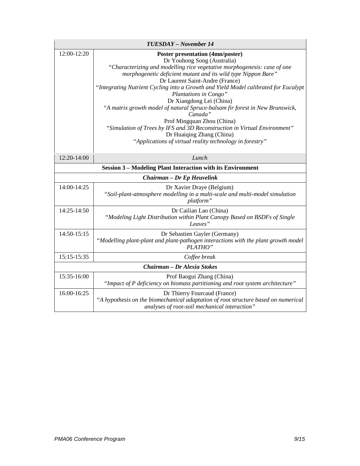| TUESDAY - November 14 |                                                                                                                                                                                                                                                                                                                                                                                                                                                                                                                                                                                                                                                                                                   |
|-----------------------|---------------------------------------------------------------------------------------------------------------------------------------------------------------------------------------------------------------------------------------------------------------------------------------------------------------------------------------------------------------------------------------------------------------------------------------------------------------------------------------------------------------------------------------------------------------------------------------------------------------------------------------------------------------------------------------------------|
| 12:00-12:20           | <b>Poster presentation (4mn/poster)</b><br>Dr Youhong Song (Australia)<br>"Characterizing and modelling rice vegetative morphogenesis: case of one<br>morphogenetic deficient mutant and its wild type Nippon Bare"<br>Dr Laurent Saint-Andre (France)<br>"Integrating Nutrient Cycling into a Growth and Yield Model calibrated for Eucalypt<br>Plantations in Congo"<br>Dr Xiangdong Lei (China)<br>"A matrix growth model of natural Spruce-balsam fir forest in New Brunswick,<br>Canada"<br>Prof Mingquan Zhou (China)<br>"Simulation of Trees by IFS and 3D Reconstruction in Virtual Environment"<br>Dr Huaiqing Zhang (China)<br>"Applications of virtual reality technology in forestry" |
| 12:20-14:00           | Lunch                                                                                                                                                                                                                                                                                                                                                                                                                                                                                                                                                                                                                                                                                             |
|                       | <b>Session 3 – Modeling Plant Interaction with its Environment</b>                                                                                                                                                                                                                                                                                                                                                                                                                                                                                                                                                                                                                                |
|                       | Chairman - Dr Ep Heuvelink                                                                                                                                                                                                                                                                                                                                                                                                                                                                                                                                                                                                                                                                        |
| 14:00-14:25           | Dr Xavier Draye (Belgium)<br>"Soil-plant-atmosphere modelling in a multi-scale and multi-model simulation<br>platform"                                                                                                                                                                                                                                                                                                                                                                                                                                                                                                                                                                            |
| 14:25-14:50           | Dr Cailian Lao (China)<br>"Modeling Light Distribution within Plant Canopy Based on BSDFs of Single<br>Leaves"                                                                                                                                                                                                                                                                                                                                                                                                                                                                                                                                                                                    |
| 14:50-15:15           | Dr Sebastien Gayler (Germany)<br>"Modelling plant-plant and plant-pathogen interactions with the plant growth model<br>PLATHO"                                                                                                                                                                                                                                                                                                                                                                                                                                                                                                                                                                    |
| 15:15-15:35           | Coffee break                                                                                                                                                                                                                                                                                                                                                                                                                                                                                                                                                                                                                                                                                      |
|                       | Chairman - Dr Alexia Stokes                                                                                                                                                                                                                                                                                                                                                                                                                                                                                                                                                                                                                                                                       |
| 15:35-16:00           | Prof Baogui Zhang (China)<br>"Impact of P deficiency on biomass partitioning and root system architecture"                                                                                                                                                                                                                                                                                                                                                                                                                                                                                                                                                                                        |
| 16:00-16:25           | Dr Thierry Fourcaud (France)<br>"A hypothesis on the biomechanical adaptation of root structure based on numerical<br>analyses of root-soil mechanical interaction"                                                                                                                                                                                                                                                                                                                                                                                                                                                                                                                               |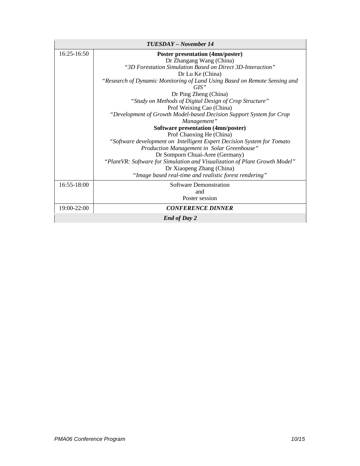| TUESDAY – November 14 |                                                                                   |
|-----------------------|-----------------------------------------------------------------------------------|
| $16:25-16:50$         | <b>Poster presentation (4mn/poster)</b>                                           |
|                       | Dr Zhangang Wang (China)                                                          |
|                       | "3D Forestation Simulation Based on Direct 3D-Interaction"                        |
|                       | Dr Lu Ke (China)                                                                  |
|                       | "Research of Dynamic Monitoring of Land Using Based on Remote Sensing and<br>GIS" |
|                       | Dr Ping Zheng (China)                                                             |
|                       | "Study on Methods of Digital Design of Crop Structure"                            |
|                       | Prof Weixing Cao (China)                                                          |
|                       | "Development of Growth Model-based Decision Support System for Crop               |
|                       | Management"                                                                       |
|                       | Software presentation (4mn/poster)                                                |
|                       | Prof Chaoxing He (China)                                                          |
|                       | "Software development on Intelligent Expert Decision System for Tomato            |
|                       | Production Management in Solar Greenhouse"                                        |
|                       | Dr Somporn Chuai-Aree (Germany)                                                   |
|                       | "PlantVR: Software for Simulation and Visualization of Plant Growth Model"        |
|                       | Dr Xiaopeng Zhang (China)                                                         |
|                       | "Image based real-time and realistic forest rendering"                            |
| 16:55-18:00           | Software Demonstration                                                            |
|                       | and                                                                               |
|                       | Poster session                                                                    |
| 19:00-22:00           | <b>CONFERENCE DINNER</b>                                                          |
| <b>End of Day 2</b>   |                                                                                   |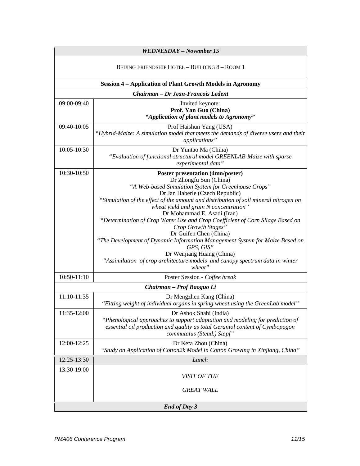| WEDNESDAY - November 15                        |                                                                                                                                                                                                                                                                                                                                                                                                                                                                                                                                                                                                                                                                                     |
|------------------------------------------------|-------------------------------------------------------------------------------------------------------------------------------------------------------------------------------------------------------------------------------------------------------------------------------------------------------------------------------------------------------------------------------------------------------------------------------------------------------------------------------------------------------------------------------------------------------------------------------------------------------------------------------------------------------------------------------------|
| BEIJING FRIENDSHIP HOTEL - BUILDING 8 - ROOM 1 |                                                                                                                                                                                                                                                                                                                                                                                                                                                                                                                                                                                                                                                                                     |
|                                                | <b>Session 4 - Application of Plant Growth Models in Agronomy</b>                                                                                                                                                                                                                                                                                                                                                                                                                                                                                                                                                                                                                   |
|                                                | Chairman - Dr Jean-Francois Ledent                                                                                                                                                                                                                                                                                                                                                                                                                                                                                                                                                                                                                                                  |
| 09:00-09:40                                    | Invited keynote:<br>Prof. Yan Guo (China)<br>"Application of plant models to Agronomy"                                                                                                                                                                                                                                                                                                                                                                                                                                                                                                                                                                                              |
| 09:40-10:05                                    | Prof Haishun Yang (USA)<br>"Hybrid-Maize: A simulation model that meets the demands of diverse users and their<br>applications"                                                                                                                                                                                                                                                                                                                                                                                                                                                                                                                                                     |
| 10:05-10:30                                    | Dr Yuntao Ma (China)<br>"Evaluation of functional-structural model GREENLAB-Maize with sparse<br>experimental data"                                                                                                                                                                                                                                                                                                                                                                                                                                                                                                                                                                 |
| $10:30-10:50$                                  | <b>Poster presentation (4mn/poster)</b><br>Dr Zhongfu Sun (China)<br>"A Web-based Simulation System for Greenhouse Crops"<br>Dr Jan Haberle (Czech Republic)<br>"Simulation of the effect of the amount and distribution of soil mineral nitrogen on<br>wheat yield and grain N concentration"<br>Dr Mohammad E. Asadi (Iran)<br>"Determination of Crop Water Use and Crop Coefficient of Corn Silage Based on<br>Crop Growth Stages"<br>Dr Guifen Chen (China)<br>"The Development of Dynamic Information Management System for Maize Based on<br>GPS, GIS"<br>Dr Wenjiang Huang (China)<br>"Assimilation of crop architecture models and canopy spectrum data in winter<br>wheat" |
| 10:50-11:10                                    | Poster Session - Coffee break                                                                                                                                                                                                                                                                                                                                                                                                                                                                                                                                                                                                                                                       |
|                                                | Chairman - Prof Baoguo Li                                                                                                                                                                                                                                                                                                                                                                                                                                                                                                                                                                                                                                                           |
| 11:10-11:35                                    | Dr Mengzhen Kang (China)<br>"Fitting weight of individual organs in spring wheat using the GreenLab model"                                                                                                                                                                                                                                                                                                                                                                                                                                                                                                                                                                          |
| 11:35-12:00                                    | Dr Ashok Shahi (India)<br>"Phenological approaches to support adaptation and modeling for prediction of<br>essential oil production and quality as total Geraniol content of Cymbopogon<br>commutatus (Steud.) Stapf"                                                                                                                                                                                                                                                                                                                                                                                                                                                               |
| 12:00-12:25                                    | Dr Kefa Zhou (China)<br>"Study on Application of Cotton2k Model in Cotton Growing in Xinjiang, China"                                                                                                                                                                                                                                                                                                                                                                                                                                                                                                                                                                               |
| 12:25-13:30                                    | Lunch                                                                                                                                                                                                                                                                                                                                                                                                                                                                                                                                                                                                                                                                               |
| 13:30-19:00                                    | VISIT OF THE<br><b>GREAT WALL</b>                                                                                                                                                                                                                                                                                                                                                                                                                                                                                                                                                                                                                                                   |
| <b>End of Day 3</b>                            |                                                                                                                                                                                                                                                                                                                                                                                                                                                                                                                                                                                                                                                                                     |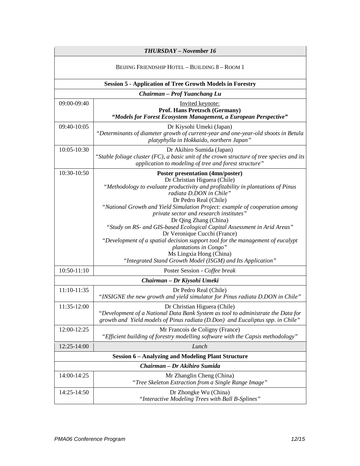| <b>THURSDAY</b> - November 16                  |                                                                                                                                                                                                                                                                                                                                                                                                                                                                               |
|------------------------------------------------|-------------------------------------------------------------------------------------------------------------------------------------------------------------------------------------------------------------------------------------------------------------------------------------------------------------------------------------------------------------------------------------------------------------------------------------------------------------------------------|
| BEIJING FRIENDSHIP HOTEL - BUILDING 8 - ROOM 1 |                                                                                                                                                                                                                                                                                                                                                                                                                                                                               |
|                                                | <b>Session 5 - Application of Tree Growth Models in Forestry</b>                                                                                                                                                                                                                                                                                                                                                                                                              |
|                                                | Chairman - Prof Yuanchang Lu                                                                                                                                                                                                                                                                                                                                                                                                                                                  |
| 09:00-09:40                                    | Invited keynote:<br>Prof. Hans Pretzsch (Germany)<br>"Models for Forest Ecosystem Management, a European Perspective"                                                                                                                                                                                                                                                                                                                                                         |
| 09:40-10:05                                    | Dr Kiysohi Umeki (Japan)<br>"Determinants of diameter growth of current-year and one-year-old shoots in Betula<br>platyphylla in Hokkaido, northern Japan"                                                                                                                                                                                                                                                                                                                    |
| 10:05-10:30                                    | Dr Akihiro Sumida (Japan)<br>"Stable foliage cluster $(FC)$ , a basic unit of the crown structure of tree species and its<br>application to modeling of tree and forest structure"                                                                                                                                                                                                                                                                                            |
| 10:30-10:50                                    | <b>Poster presentation (4mn/poster)</b><br>Dr Christian Higuera (Chile)<br>"Methodology to evaluate productivity and profitability in plantations of Pinus<br>radiata D.DON in Chile"<br>Dr Pedro Real (Chile)<br>"National Growth and Yield Simulation Project: example of cooperation among<br>private sector and research institutes"<br>Dr Qing Zhang (China)<br>"Study on RS- and GIS-based Ecological Capital Assessment in Arid Areas"<br>Dr Veronique Cucchi (France) |
|                                                | "Development of a spatial decision support tool for the management of eucalypt<br>plantations in Congo"<br>Ms Lingxia Hong (China)<br>"Integrated Stand Growth Model (ISGM) and Its Application"                                                                                                                                                                                                                                                                              |
| 10:50-11:10                                    | Poster Session - Coffee break                                                                                                                                                                                                                                                                                                                                                                                                                                                 |
|                                                | Chairman - Dr Kiysohi Umeki                                                                                                                                                                                                                                                                                                                                                                                                                                                   |
| 11:10-11:35                                    | Dr Pedro Real (Chile)<br>"INSIGNE the new growth and yield simulator for Pinus radiata D.DON in Chile"                                                                                                                                                                                                                                                                                                                                                                        |
| $11:35-12:00$                                  | Dr Christian Higuera (Chile)<br>"Development of a National Data Bank System as tool to administrate the Data for<br>growth and Yield models of Pinus radiata (D.Don) and Eucaliptus spp. in Chile"                                                                                                                                                                                                                                                                            |
| 12:00-12:25                                    | Mr Francois de Coligny (France)<br>"Efficient building of forestry modelling software with the Capsis methodology"                                                                                                                                                                                                                                                                                                                                                            |
| 12:25-14:00                                    | Lunch                                                                                                                                                                                                                                                                                                                                                                                                                                                                         |
|                                                | <b>Session 6 - Analyzing and Modeling Plant Structure</b>                                                                                                                                                                                                                                                                                                                                                                                                                     |
|                                                | Chairman - Dr Akihiro Sumida                                                                                                                                                                                                                                                                                                                                                                                                                                                  |
| 14:00-14:25                                    | Mr Zhanglin Cheng (China)<br>"Tree Skeleton Extraction from a Single Range Image"                                                                                                                                                                                                                                                                                                                                                                                             |
| 14:25-14:50                                    | Dr Zhongke Wu (China)<br>"Interactive Modeling Trees with Ball B-Splines"                                                                                                                                                                                                                                                                                                                                                                                                     |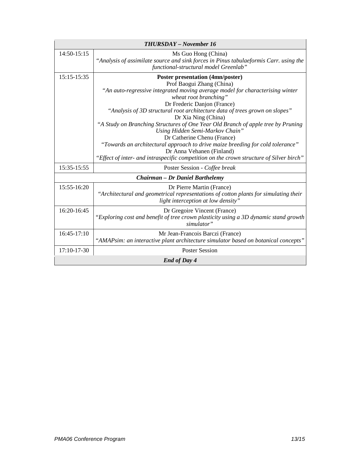| <b>THURSDAY - November 16</b> |                                                                                                                                                                                                                                                                                                                                                                                                                                                                                                                                                                                          |
|-------------------------------|------------------------------------------------------------------------------------------------------------------------------------------------------------------------------------------------------------------------------------------------------------------------------------------------------------------------------------------------------------------------------------------------------------------------------------------------------------------------------------------------------------------------------------------------------------------------------------------|
| 14:50-15:15                   | Ms Guo Hong (China)<br>"Analysis of assimilate source and sink forces in Pinus tabulaeformis Carr. using the<br>functional-structural model Greenlab"                                                                                                                                                                                                                                                                                                                                                                                                                                    |
| 15:15-15:35                   | <b>Poster presentation (4mn/poster)</b><br>Prof Baogui Zhang (China)<br>"An auto-regressive integrated moving average model for characterising winter<br>wheat root branching"<br>Dr Frederic Danjon (France)<br>"Analysis of 3D structural root architecture data of trees grown on slopes"<br>Dr Xia Ning (China)<br>"A Study on Branching Structures of One Year Old Branch of apple tree by Pruning<br>Using Hidden Semi-Markov Chain"<br>Dr Catherine Chenu (France)<br>"Towards an architectural approach to drive maize breeding for cold tolerance"<br>Dr Anna Vehanen (Finland) |
|                               | "Effect of inter- and intraspecific competition on the crown structure of Silver birch"                                                                                                                                                                                                                                                                                                                                                                                                                                                                                                  |
| 15:35-15:55                   | Poster Session - Coffee break                                                                                                                                                                                                                                                                                                                                                                                                                                                                                                                                                            |
|                               | <b>Chairman – Dr Daniel Barthelemy</b>                                                                                                                                                                                                                                                                                                                                                                                                                                                                                                                                                   |
| 15:55-16:20                   | Dr Pierre Martin (France)<br>"Architectural and geometrical representations of cotton plants for simulating their<br>light interception at low density"                                                                                                                                                                                                                                                                                                                                                                                                                                  |
| 16:20-16:45                   | Dr Gregoire Vincent (France)<br>"Exploring cost and benefit of tree crown plasticity using a 3D dynamic stand growth<br>simulator"                                                                                                                                                                                                                                                                                                                                                                                                                                                       |
| 16:45-17:10                   | Mr Jean-Francois Barczi (France)<br>"AMAPsim: an interactive plant architecture simulator based on botanical concepts"                                                                                                                                                                                                                                                                                                                                                                                                                                                                   |
| 17:10-17-30                   | <b>Poster Session</b>                                                                                                                                                                                                                                                                                                                                                                                                                                                                                                                                                                    |
| End of Day 4                  |                                                                                                                                                                                                                                                                                                                                                                                                                                                                                                                                                                                          |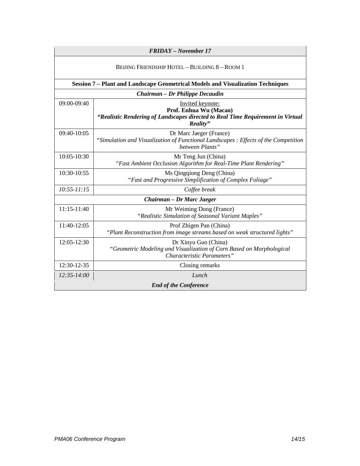| <b>FRIDAY</b> – November 17                   |                                                                                                                                           |
|-----------------------------------------------|-------------------------------------------------------------------------------------------------------------------------------------------|
| BELING FRIENDSHIP HOTEL - BUILDING 8 - ROOM 1 |                                                                                                                                           |
|                                               | Session 7 - Plant and Landscape Geometrical Models and Visualization Techniques                                                           |
|                                               | Chairman – Dr Philippe Decaudin                                                                                                           |
| 09:00-09:40                                   | Invited keynote:<br>Prof. Enhua Wu (Macao)<br>"Realistic Rendering of Landscapes directed to Real Time Requirement in Virtual<br>Reality" |
| 09:40-10:05                                   | Dr Marc Jaeger (France)<br>"Simulation and Visualization of Functional Landscapes : Effects of the Competition<br>between Plants"         |
| 10:05-10:30                                   | Mr Teng Jun (China)<br>"Fast Ambient Occlusion Algorithm for Real-Time Plant Rendering"                                                   |
| $10:30-10:55$                                 | Ms Qingqiong Deng (China)<br>"Fast and Progressive Simplification of Complex Foliage"                                                     |
| $10:55 - 11:15$                               | Coffee break                                                                                                                              |
|                                               | Chairman – Dr Marc Jaeger                                                                                                                 |
| 11:15-11:40                                   | Mr Weiming Dong (France)<br>"Realistic Simulation of Seasonal Variant Maples"                                                             |
| 11:40-12:05                                   | Prof Zhigen Pan (China)<br>"Plant Reconstruction from image streams based on weak structured lights"                                      |
| 12:05-12:30                                   | Dr Xinyu Guo (China)<br>"Geometric Modeling and Visualization of Corn Based on Morphological<br>Characteristic Parameters"                |
| 12:30-12-35                                   | Closing remarks                                                                                                                           |
| 12:35-14:00                                   | Lunch                                                                                                                                     |
| <b>End of the Conference</b>                  |                                                                                                                                           |